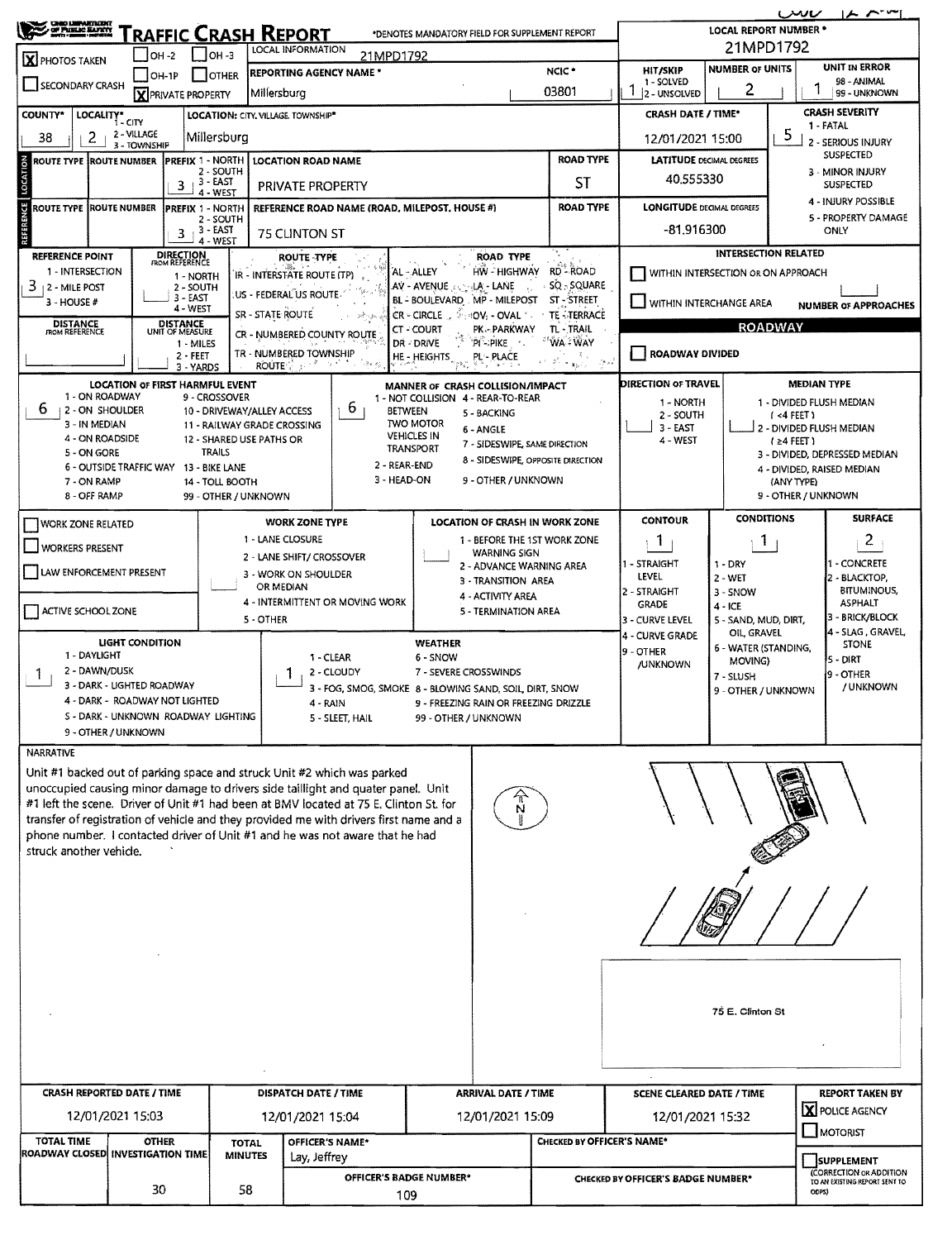| <b>CHIIO LIMPARTATIONT</b><br><b>OF PIELE BUYER</b><br><b>RAFFIC CRASH REPORT</b><br>*DENOTES MANDATORY FIELD FOR SUPPLEMENT REPORT                                             |                                                            |                                    |                                         |                                                                                         |                                                                           |                                                         |                                                 |                                                                        |                                    | $ A \cap T^*$<br>ىس<br><b>LOCAL REPORT NUMBER *</b> |                                                                                   |  |  |  |  |  |
|---------------------------------------------------------------------------------------------------------------------------------------------------------------------------------|------------------------------------------------------------|------------------------------------|-----------------------------------------|-----------------------------------------------------------------------------------------|---------------------------------------------------------------------------|---------------------------------------------------------|-------------------------------------------------|------------------------------------------------------------------------|------------------------------------|-----------------------------------------------------|-----------------------------------------------------------------------------------|--|--|--|--|--|
|                                                                                                                                                                                 |                                                            |                                    |                                         | LOCAL INFORMATION                                                                       |                                                                           |                                                         | 21MPD1792                                       |                                                                        |                                    |                                                     |                                                                                   |  |  |  |  |  |
| $IOH-2$<br>$OH -3$<br>21MPD1792<br>X PHOTOS TAKEN<br><b>REPORTING AGENCY NAME *</b><br><b>OTHER</b>                                                                             |                                                            |                                    |                                         |                                                                                         |                                                                           |                                                         |                                                 | NCIC <sup>*</sup>                                                      | <b>HIT/SKIP</b>                    | <b>NUMBER OF UNITS</b>                              | UNIT IN ERROR                                                                     |  |  |  |  |  |
| SECONDARY CRASH                                                                                                                                                                 | $IOH-1P$                                                   |                                    |                                         | Millersburg                                                                             |                                                                           | 03801                                                   |                                                 |                                                                        | 1 - SOLVED<br>2 - UNSOLVED         | 2                                                   | 98 - ANIMAL<br>99 - UNKNOWN                                                       |  |  |  |  |  |
| COUNTY*                                                                                                                                                                         |                                                            | X PRIVATE PROPERTY                 |                                         | LOCATION: CITY, VILLAGE, TOWNSHIP*                                                      |                                                                           | <b>CRASH DATE / TIME*</b>                               |                                                 | <b>CRASH SEVERITY</b>                                                  |                                    |                                                     |                                                                                   |  |  |  |  |  |
|                                                                                                                                                                                 | LOCALITY* CITY<br>2 - VILLAGE                              |                                    |                                         |                                                                                         |                                                                           |                                                         | 1-FATAL<br>5                                    |                                                                        |                                    |                                                     |                                                                                   |  |  |  |  |  |
| 2<br>38                                                                                                                                                                         | 3 - TOWNSHIP                                               |                                    | Millersburg                             |                                                                                         |                                                                           |                                                         |                                                 |                                                                        | 12/01/2021 15:00                   | 2 - SERIOUS INJURY<br>SUSPECTED                     |                                                                                   |  |  |  |  |  |
| LOCATION<br>ROUTE TYPE ROUTE NUMBER                                                                                                                                             |                                                            | PREFIX 1 - NORTH                   | 2 - SOUTH                               | <b>ROAD TYPE</b><br><b>LOCATION ROAD NAME</b><br>ST                                     |                                                                           |                                                         |                                                 |                                                                        |                                    | <b>LATITUDE DECIMAL DEGREES</b>                     | 3 - MINOR INJURY                                                                  |  |  |  |  |  |
|                                                                                                                                                                                 |                                                            | 3 - EAST<br>3<br>4 - WEST          |                                         | <b>PRIVATE PROPERTY</b>                                                                 |                                                                           |                                                         |                                                 | 40.555330                                                              |                                    | <b>SUSPECTED</b>                                    |                                                                                   |  |  |  |  |  |
| ENCE<br><b>ROUTE TYPE ROUTE NUMBER</b>                                                                                                                                          |                                                            | <b>PREFIX 1 - NORTH</b>            | 2 - SOUTH                               |                                                                                         | REFERENCE ROAD NAME (ROAD, MILEPOST, HOUSE #)                             |                                                         |                                                 | <b>LONGITUDE DECIMAL DEGREES</b>                                       |                                    | 4 - INJURY POSSIBLE<br>5 - PROPERTY DAMAGE          |                                                                                   |  |  |  |  |  |
|                                                                                                                                                                                 |                                                            | 3 - EAST<br>3                      | 4 - WEST                                | <b>75 CLINTON ST</b>                                                                    |                                                                           |                                                         |                                                 |                                                                        | $-81.916300$                       |                                                     | ONLY                                                                              |  |  |  |  |  |
| <b>REFERENCE POINT</b>                                                                                                                                                          |                                                            | <b>DIRECTION</b><br>FROM REFERENCE |                                         | <b>ROUTE TYPE</b>                                                                       |                                                                           |                                                         | <b>ROAD TYPE</b>                                |                                                                        | <b>INTERSECTION RELATED</b>        |                                                     |                                                                                   |  |  |  |  |  |
| 1 - INTERSECTION                                                                                                                                                                |                                                            | 1 - NORTH                          |                                         | IR - INTERSTATE ROUTE (TP)                                                              |                                                                           | AL - ALLEY<br>AV - AVENUE : LA - LANE                   | HW - HIGHWAY                                    | WITHIN INTERSECTION OR ON APPROACH                                     |                                    |                                                     |                                                                                   |  |  |  |  |  |
| $3 + 2 -$ MILE POST<br>3 - HOUSE #                                                                                                                                              |                                                            | 2 - SOUTH<br>3 - EAST              |                                         | .US - FEDERAL US ROUTE                                                                  | SQ - SQUARE<br>$\lambda$ .<br>BL - BOULEVARD MP - MILEPOST<br>ST - STREET | WITHIN INTERCHANGE AREA                                 |                                                 | <b>NUMBER OF APPROACHES</b>                                            |                                    |                                                     |                                                                                   |  |  |  |  |  |
| <b>DISTANCE</b><br>FROM REFERENCE                                                                                                                                               |                                                            | 4 - WEST<br><b>DISTANCE</b>        |                                         | SR - STATE ROUTE                                                                        |                                                                           |                                                         | CR - CIRCLE ( SHOV: + OVAL * )                  | <b>TE - TERRACE</b>                                                    |                                    |                                                     | <b>ROADWAY</b>                                                                    |  |  |  |  |  |
|                                                                                                                                                                                 |                                                            | UNIT OF MEASURE<br>1 - MILES       |                                         | CR - NUMBERED COUNTY ROUTE                                                              |                                                                           | CT-COURT<br>DR - DRIVE                                  | PK - PARKWAY<br>"PI"->PIKE                      | TL - TRAIL<br><b>WA-WAY</b>                                            |                                    |                                                     |                                                                                   |  |  |  |  |  |
|                                                                                                                                                                                 |                                                            | $2 - FLET$<br>3 - YARDS            |                                         | TR - NUMBERED TOWNSHIP<br>ROUTE $\mathbb{C}^{\mathbb{C}}$ and $\mathbb{C}^{\mathbb{C}}$ |                                                                           | HE - HEIGHTS<br>$\mathcal{V}_{\mathcal{B},\mathcal{C}}$ | PL-PLACE                                        | $\mathbb{R}^2 \rightarrow \mathbf{x}_\mathbf{h} \tau_\mathbf{e}$<br>ş. | ROADWAY DIVIDED                    |                                                     |                                                                                   |  |  |  |  |  |
|                                                                                                                                                                                 | <b>LOCATION OF FIRST HARMFUL EVENT</b>                     |                                    |                                         |                                                                                         |                                                                           |                                                         | MANNER OF CRASH COLLISION/IMPACT                |                                                                        | <b>DIRECTION OF TRAVEL</b>         |                                                     | <b>MEDIAN TYPE</b>                                                                |  |  |  |  |  |
| 1 - ON ROADWAY<br>ь<br>2 - ON SHOULDER                                                                                                                                          |                                                            | 9 - CROSSOVER                      |                                         | 10 - DRIVEWAY/ALLEY ACCESS                                                              | 6<br><b>BETWEEN</b>                                                       |                                                         | 1 - NOT COLLISION 4 - REAR-TO-REAR              |                                                                        | 1 - NORTH                          |                                                     | 1 - DIVIDED FLUSH MEDIAN<br>$(4$ FEET)<br>2 - DIVIDED FLUSH MEDIAN<br>$(24$ FEET) |  |  |  |  |  |
| 3 - IN MEDIAN                                                                                                                                                                   |                                                            |                                    |                                         | 11 - RAILWAY GRADE CROSSING                                                             |                                                                           | <b>TWO MOTOR</b>                                        | 5 - BACKING<br>6 - ANGLE                        |                                                                        | 2 - SOUTH<br>$3 - EAST$            |                                                     |                                                                                   |  |  |  |  |  |
| 4 - ON ROADSIDE<br>5 - ON GORE                                                                                                                                                  |                                                            | <b>TRAILS</b>                      | 12 - SHARED USE PATHS OR                |                                                                                         |                                                                           | <b>VEHICLES IN</b><br>TRANSPORT                         | 7 - SIDESWIPE, SAME DIRECTION                   |                                                                        | 4 - WEST                           |                                                     |                                                                                   |  |  |  |  |  |
|                                                                                                                                                                                 | 6 - OUTSIDE TRAFFIC WAY 13 - BIKE LANE                     |                                    |                                         |                                                                                         | 2 - REAR-END                                                              |                                                         |                                                 | 8 - SIDESWIPE, OPPOSITE DIRECTION                                      |                                    |                                                     | 3 - DIVIDED, DEPRESSED MEDIAN<br>4 - DIVIDED, RAISED MEDIAN                       |  |  |  |  |  |
| 7 - ON RAMP<br>8 - OFF RAMP                                                                                                                                                     |                                                            |                                    | 14 - TOLL BOOTH<br>99 - OTHER / UNKNOWN |                                                                                         | 3 - HEAD-ON                                                               |                                                         | 9 - OTHER / UNKNOWN                             |                                                                        |                                    |                                                     | (ANY TYPE)<br>9 - OTHER / UNKNOWN                                                 |  |  |  |  |  |
|                                                                                                                                                                                 |                                                            |                                    |                                         |                                                                                         |                                                                           |                                                         |                                                 |                                                                        |                                    | <b>CONDITIONS</b>                                   | <b>SURFACE</b>                                                                    |  |  |  |  |  |
| <b>WORK ZONE RELATED</b>                                                                                                                                                        |                                                            |                                    |                                         | <b>WORK ZONE TYPE</b><br>1 - LANE CLOSURE                                               |                                                                           |                                                         |                                                 | LOCATION OF CRASH IN WORK ZONE<br>1 - BEFORE THE 1ST WORK ZONE         | <b>CONTOUR</b><br>$\mathbf{1}$     |                                                     | $\overline{c}$                                                                    |  |  |  |  |  |
| WORKERS PRESENT                                                                                                                                                                 |                                                            |                                    |                                         | 2 - LANE SHIFT/ CROSSOVER                                                               |                                                                           |                                                         | WARNING SIGN                                    |                                                                        |                                    | Т.<br>1 - DRY                                       |                                                                                   |  |  |  |  |  |
| LAW ENFORCEMENT PRESENT                                                                                                                                                         |                                                            |                                    |                                         | 3 - WORK ON SHOULDER                                                                    |                                                                           |                                                         | 2 - ADVANCE WARNING AREA<br>3 - TRANSITION AREA |                                                                        | 1 - STRAIGHT<br><b>LEVEL</b>       | - CONCRETE<br>2 - BLACKTOP.                         |                                                                                   |  |  |  |  |  |
|                                                                                                                                                                                 |                                                            |                                    |                                         | OR MEDIAN                                                                               | 4 - INTERMITTENT OR MOVING WORK                                           |                                                         | 4 - ACTIVITY AREA                               |                                                                        | 2 - STRAIGHT<br>GRADE              | 3 - SNOW                                            | <b>BITUMINOUS,</b><br><b>ASPHALT</b>                                              |  |  |  |  |  |
| ACTIVE SCHOOL ZONE                                                                                                                                                              |                                                            |                                    |                                         | 5 - OTHER                                                                               |                                                                           |                                                         | 5 - TERMINATION AREA                            |                                                                        | 3 - CURVE LEVEL                    | $4 - ICE$<br>5 - SAND, MUD, DIRT,                   | 3 - BRICK/BLOCK                                                                   |  |  |  |  |  |
|                                                                                                                                                                                 | <b>LIGHT CONDITION</b>                                     |                                    |                                         |                                                                                         |                                                                           | WEATHER                                                 |                                                 |                                                                        | 4 - CURVE GRADE                    | OIL, GRAVEL<br>6 - WATER (STANDING,                 | 4 - SLAG , GRAVEL,<br><b>STONE</b><br>5 - DIRT                                    |  |  |  |  |  |
| 1 - DAYLIGHT                                                                                                                                                                    |                                                            |                                    |                                         |                                                                                         | 1 - CLEAR                                                                 | 6 - SNOW                                                |                                                 |                                                                        | 9 - OTHER<br><b>/UNKNOWN</b>       | MOVING)                                             |                                                                                   |  |  |  |  |  |
| 2 - DAWN/DUSK<br>$\mathbf{I}$                                                                                                                                                   | 3 - DARK - LIGHTED ROADWAY                                 |                                    |                                         |                                                                                         | 2 - CLOUDY<br>3 - FOG, SMOG, SMOKE 8 - BLOWING SAND, SOIL, DIRT, SNOW     | 7 - SEVERE CROSSWINDS                                   |                                                 |                                                                        |                                    | 7 - SLUSH<br>9 - OTHER / UNKNOWN                    | 9 - OTHER<br>/ UNKNOWN                                                            |  |  |  |  |  |
|                                                                                                                                                                                 | 4 - DARK - ROADWAY NOT LIGHTED                             |                                    |                                         | 4 - RAIN                                                                                |                                                                           |                                                         | 9 - FREEZING RAIN OR FREEZING DRIZZLE           |                                                                        |                                    |                                                     |                                                                                   |  |  |  |  |  |
|                                                                                                                                                                                 | S - DARK - UNKNOWN ROADWAY LIGHTING<br>9 - OTHER / UNKNOWN |                                    |                                         |                                                                                         | 5 - SLEET, HAIL                                                           | 99 - OTHER / UNKNOWN                                    |                                                 |                                                                        |                                    |                                                     |                                                                                   |  |  |  |  |  |
| NARRATIVE                                                                                                                                                                       |                                                            |                                    |                                         |                                                                                         |                                                                           |                                                         |                                                 |                                                                        |                                    |                                                     |                                                                                   |  |  |  |  |  |
| Unit #1 backed out of parking space and struck Unit #2 which was parked                                                                                                         |                                                            |                                    |                                         |                                                                                         |                                                                           |                                                         |                                                 |                                                                        |                                    |                                                     |                                                                                   |  |  |  |  |  |
| unoccupied causing minor damage to drivers side taillight and quater panel. Unit                                                                                                |                                                            |                                    |                                         |                                                                                         |                                                                           |                                                         |                                                 |                                                                        |                                    |                                                     |                                                                                   |  |  |  |  |  |
| #1 left the scene. Driver of Unit #1 had been at BMV located at 75 E. Clinton St. for<br>transfer of registration of vehicle and they provided me with drivers first name and a |                                                            |                                    |                                         |                                                                                         |                                                                           |                                                         |                                                 |                                                                        |                                    |                                                     |                                                                                   |  |  |  |  |  |
| phone number. I contacted driver of Unit #1 and he was not aware that he had                                                                                                    |                                                            |                                    |                                         |                                                                                         |                                                                           |                                                         |                                                 |                                                                        |                                    |                                                     |                                                                                   |  |  |  |  |  |
| struck another vehicle.                                                                                                                                                         |                                                            |                                    |                                         |                                                                                         |                                                                           |                                                         |                                                 |                                                                        |                                    |                                                     |                                                                                   |  |  |  |  |  |
|                                                                                                                                                                                 |                                                            |                                    |                                         |                                                                                         |                                                                           |                                                         |                                                 |                                                                        |                                    |                                                     |                                                                                   |  |  |  |  |  |
|                                                                                                                                                                                 |                                                            |                                    |                                         |                                                                                         |                                                                           |                                                         |                                                 |                                                                        |                                    |                                                     |                                                                                   |  |  |  |  |  |
|                                                                                                                                                                                 |                                                            |                                    |                                         |                                                                                         |                                                                           |                                                         |                                                 |                                                                        |                                    |                                                     |                                                                                   |  |  |  |  |  |
|                                                                                                                                                                                 |                                                            |                                    |                                         |                                                                                         |                                                                           |                                                         |                                                 |                                                                        |                                    |                                                     |                                                                                   |  |  |  |  |  |
|                                                                                                                                                                                 |                                                            |                                    |                                         |                                                                                         |                                                                           |                                                         |                                                 |                                                                        |                                    |                                                     |                                                                                   |  |  |  |  |  |
|                                                                                                                                                                                 |                                                            |                                    |                                         |                                                                                         |                                                                           |                                                         |                                                 |                                                                        |                                    |                                                     |                                                                                   |  |  |  |  |  |
|                                                                                                                                                                                 |                                                            |                                    |                                         |                                                                                         |                                                                           | 75 E. Clinton St                                        |                                                 |                                                                        |                                    |                                                     |                                                                                   |  |  |  |  |  |
|                                                                                                                                                                                 |                                                            |                                    |                                         |                                                                                         |                                                                           |                                                         |                                                 |                                                                        |                                    |                                                     |                                                                                   |  |  |  |  |  |
|                                                                                                                                                                                 |                                                            |                                    |                                         |                                                                                         |                                                                           |                                                         |                                                 |                                                                        |                                    |                                                     |                                                                                   |  |  |  |  |  |
|                                                                                                                                                                                 |                                                            |                                    |                                         |                                                                                         |                                                                           |                                                         |                                                 |                                                                        |                                    |                                                     |                                                                                   |  |  |  |  |  |
| <b>CRASH REPORTED DATE / TIME</b>                                                                                                                                               |                                                            |                                    |                                         | DISPATCH DATE / TIME                                                                    |                                                                           |                                                         | <b>ARRIVAL DATE / TIME</b>                      |                                                                        | <b>SCENE CLEARED DATE / TIME</b>   |                                                     | <b>REPORT TAKEN BY</b>                                                            |  |  |  |  |  |
|                                                                                                                                                                                 | 12/01/2021 15:03                                           |                                    |                                         | 12/01/2021 15:04                                                                        |                                                                           |                                                         | 12/01/2021 15:09                                |                                                                        | 12/01/2021 15:32                   |                                                     | <b>X</b> POLICE AGENCY                                                            |  |  |  |  |  |
| <b>TOTAL TIME</b>                                                                                                                                                               | <b>OTHER</b>                                               |                                    | <b>TOTAL</b>                            | OFFICER'S NAME*                                                                         |                                                                           |                                                         |                                                 | CHECKED BY OFFICER'S NAME*                                             |                                    | MOTORIST                                            |                                                                                   |  |  |  |  |  |
| ROADWAY CLOSED INVESTIGATION TIME                                                                                                                                               |                                                            |                                    | <b>MINUTES</b>                          | Lay, Jeffrey                                                                            |                                                                           |                                                         |                                                 |                                                                        |                                    |                                                     | <b>SUPPLEMENT</b>                                                                 |  |  |  |  |  |
|                                                                                                                                                                                 | 30                                                         |                                    | 58                                      |                                                                                         | OFFICER'S BADGE NUMBER*                                                   |                                                         |                                                 |                                                                        | CHECKED BY OFFICER'S BADGE NUMBER* |                                                     | (CORRECTION OR ADDITION<br>TO AN EXISTING REPORT SENT TO<br>ODPS)                 |  |  |  |  |  |
| 109                                                                                                                                                                             |                                                            |                                    |                                         |                                                                                         |                                                                           |                                                         |                                                 |                                                                        |                                    |                                                     |                                                                                   |  |  |  |  |  |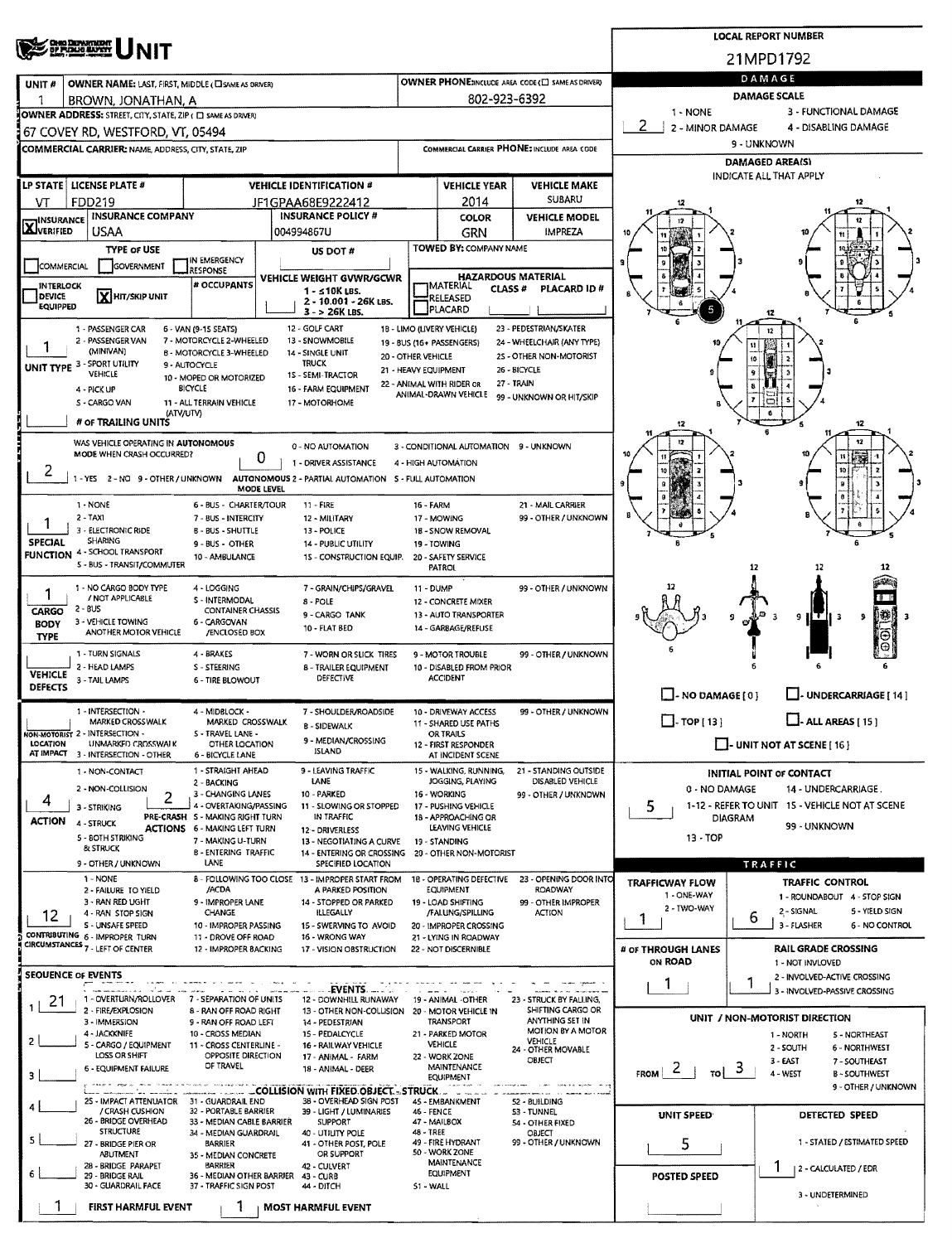|                                                                                         |                                                                                          |                                                           | <b>LOCAL REPORT NUMBER</b> |                                                                               |                                                              |                                                   |                                                       |                                                                |                              |                                                        |  |  |  |  |
|-----------------------------------------------------------------------------------------|------------------------------------------------------------------------------------------|-----------------------------------------------------------|----------------------------|-------------------------------------------------------------------------------|--------------------------------------------------------------|---------------------------------------------------|-------------------------------------------------------|----------------------------------------------------------------|------------------------------|--------------------------------------------------------|--|--|--|--|
|                                                                                         | <b>OHIO DEPARTMENT</b><br><u>DP FLOANG MANKYY</u>                                        |                                                           | 21MPD1792                  |                                                                               |                                                              |                                                   |                                                       |                                                                |                              |                                                        |  |  |  |  |
| UNIT#                                                                                   | OWNER NAME: LAST, FIRST, MIDDLE (CI SAME AS ORIVER)                                      |                                                           |                            |                                                                               |                                                              |                                                   | OWNER PHONE2NCLUDE AREA CODE (E) SAME AS DRIVERY      | DAMAGE                                                         |                              |                                                        |  |  |  |  |
|                                                                                         | BROWN, JONATHAN, A                                                                       |                                                           |                            |                                                                               |                                                              | 802-923-6392                                      |                                                       | DAMAGE SCALE                                                   |                              |                                                        |  |  |  |  |
|                                                                                         | OWNER ADDRESS: STREET, CITY, STATE, ZIP ( C) SAME AS DRIVERI                             |                                                           |                            |                                                                               |                                                              |                                                   |                                                       | 1 - NONE<br>3 - FUNCTIONAL DAMAGE                              |                              |                                                        |  |  |  |  |
|                                                                                         | 67 COVEY RD, WESTFORD, VT, 05494                                                         |                                                           |                            |                                                                               |                                                              |                                                   |                                                       | 2<br>2 - MINOR DAMAGE<br>4 - DISABLING DAMAGE<br>9 - UNKNOWN   |                              |                                                        |  |  |  |  |
|                                                                                         | <b>COMMERCIAL CARRIER: NAME, ADDRESS, CITY, STATE, ZIP</b>                               |                                                           |                            |                                                                               |                                                              |                                                   | COMMERCIAL CARRIER PHONE: INCLUDE AREA CODE           | <b>DAMAGED AREA(S)</b>                                         |                              |                                                        |  |  |  |  |
|                                                                                         |                                                                                          |                                                           |                            |                                                                               |                                                              |                                                   |                                                       | INDICATE ALL THAT APPLY                                        |                              |                                                        |  |  |  |  |
|                                                                                         | LP STATE   LICENSE PLATE #<br>FDD219                                                     |                                                           |                            | <b>VEHICLE IDENTIFICATION #</b><br>JF1GPAA68E9222412                          | <b>VEHICLE YEAR</b><br><b>VEHICLE MAKE</b><br>SUBARU<br>2014 |                                                   |                                                       | 12                                                             |                              |                                                        |  |  |  |  |
| VT<br><b>TINSURANCE</b>                                                                 | <b>INSURANCE COMPANY</b>                                                                 |                                                           |                            | <b>INSURANCE POLICY #</b>                                                     |                                                              | <b>COLOR</b>                                      | <b>VEHICLE MODEL</b>                                  | 12                                                             |                              |                                                        |  |  |  |  |
| <b>X</b> VERIFIED                                                                       | USAA                                                                                     |                                                           |                            | 004994867U                                                                    |                                                              | <b>GRN</b>                                        | <b>IMPREZA</b>                                        | 10                                                             |                              |                                                        |  |  |  |  |
|                                                                                         | <b>TYPE or USE</b>                                                                       |                                                           |                            | US DOT #                                                                      |                                                              | TOWED BY: COMPANY NAME                            |                                                       |                                                                |                              |                                                        |  |  |  |  |
| IN EMERGENCY<br>COMMERCIAL<br><b>GOVERNMENT</b><br>RESPONSE<br>VEHICLE WEIGHT GVWR/GCWR |                                                                                          |                                                           |                            |                                                                               |                                                              | <b>HAZARDOUS MATERIAL</b>                         |                                                       |                                                                |                              |                                                        |  |  |  |  |
| <b>INTERLOCK</b><br><b>DEVICE</b>                                                       | <b>X</b> HIT/SKIP UNIT                                                                   | # OCCUPANTS                                               |                            | 1 - ≤10K LBS.                                                                 |                                                              | IMATERIAL<br><b>CLASS#</b><br>RELEASED            | <b>PLACARD ID#</b>                                    |                                                                |                              |                                                        |  |  |  |  |
| <b>EQUIPPED</b>                                                                         |                                                                                          |                                                           |                            | 2 - 10.001 - 26K LBS.<br>$3 - 26K$ LBS.                                       |                                                              | PLACARD                                           |                                                       | ô<br>5                                                         |                              |                                                        |  |  |  |  |
|                                                                                         | 1 - PASSENGER CAR                                                                        | 6 - VAN (9-15 SEATS)                                      |                            | 12 - GOLF CART                                                                |                                                              | 18 - LIMO (LIVERY VEHICLE)                        | 23 - PEDESTRIAN/SKATER                                |                                                                |                              |                                                        |  |  |  |  |
|                                                                                         | 2 - PASSENGER VAN<br>(MINIVAN)                                                           | 7 - MOTORCYCLE 2-WHEELED<br>B - MOTORCYCLE 3-WHEELED      |                            | 13 - SNOWMOBILE<br>14 - SINGLE UNIT                                           | 20 - OTHER VEHICLE                                           | 19 - BUS (16+ PASSENGERS)                         | 24 - WHEELCHAIR (ANY TYPE)<br>25 - OTHER NON-MOTORIST | 10                                                             | u                            |                                                        |  |  |  |  |
|                                                                                         | UNIT TYPE 3 - SPORT UTILITY<br>VEHICLE                                                   | 9 - AUTOCYCLE                                             |                            | <b>TRUCK</b><br>1S - SEMI-TRACTOR                                             | 21 - HEAVY EQUIPMENT                                         |                                                   | 26 - BICYCLE                                          |                                                                | 10                           |                                                        |  |  |  |  |
|                                                                                         | 4 - PICK UP                                                                              | 10 - MOPED OR MOTORIZED<br><b>BICYCLE</b>                 |                            | 16 - FARM EQUIPMENT                                                           |                                                              | 22 - ANIMAL WITH RIDER OR<br>ANIMAL-DRAWN VEHICLE | 27 - TRAIN<br>99 - UNKNOWN OR HIT/SKIP                |                                                                |                              |                                                        |  |  |  |  |
|                                                                                         | S - CARGO VAN<br>(ATV/UTV)                                                               | 11 - ALL TERRAIN VEHICLE                                  |                            | 17 - MOTORHOME                                                                |                                                              |                                                   |                                                       |                                                                |                              |                                                        |  |  |  |  |
|                                                                                         | # OF TRAILING UNITS                                                                      |                                                           |                            |                                                                               |                                                              |                                                   |                                                       | 12                                                             |                              | 12                                                     |  |  |  |  |
|                                                                                         | WAS VEHICLE OPERATING IN AUTONOMOUS<br>MODE WHEN CRASH OCCURRED?                         |                                                           |                            | 0 - NO AUTOMATION                                                             |                                                              | 3 - CONDITIONAL AUTOMATION 9 - UNKNOWN            |                                                       |                                                                |                              | 12                                                     |  |  |  |  |
| 2                                                                                       |                                                                                          |                                                           | 0                          | 1 - DRIVER ASSISTANCE                                                         |                                                              | 4 - HIGH AUTOMATION                               |                                                       |                                                                |                              |                                                        |  |  |  |  |
|                                                                                         | 1 - YES 2 - NO 9 - OTHER / UNKNOWN AUTONOMOUS 2 - PARTIAL AUTOMATION 5 - FULL AUTOMATION |                                                           | MODE LEVEL                 |                                                                               |                                                              |                                                   |                                                       |                                                                |                              |                                                        |  |  |  |  |
|                                                                                         | 1 - NONE                                                                                 | 6 - BUS - CHARTER/TOUR                                    |                            | 11 - FIRE                                                                     | 16 - FARM                                                    |                                                   | 21 - MAIL CARRIER                                     |                                                                |                              |                                                        |  |  |  |  |
|                                                                                         | $2 - TAXI$<br>3 - ELECTRONIC RIDE                                                        | 7 - BUS - INTERCITY                                       |                            | 12 - MILITARY<br>13 - POLICE                                                  |                                                              | 17 - MOWING                                       | 99 - OTHER / UNKNOWN                                  |                                                                |                              |                                                        |  |  |  |  |
| <b>SPECIAL</b>                                                                          | SHARING                                                                                  | B - BUS - SHUTTLE<br>9 - BUS - OTHER                      |                            | 14 - PUBLIC UTILITY                                                           |                                                              | 18 - SNOW REMOVAL<br>19 - TOWING                  |                                                       |                                                                |                              |                                                        |  |  |  |  |
|                                                                                         | FUNCTION 4 - SCHOOL TRANSPORT<br>S - BUS - TRANSIT/COMMUTER                              | 10 - AMBULANCE                                            |                            | 15 - CONSTRUCTION EQUIP.                                                      |                                                              | 20 - SAFETY SERVICE<br>PATROL                     |                                                       |                                                                | 12                           | 12<br>12                                               |  |  |  |  |
|                                                                                         | 1 - NO CARGO BODY TYPE                                                                   | 4 - LOGGING                                               |                            | 7 - GRAIN/CHIPS/GRAVEL                                                        | 11 - DUMP                                                    |                                                   | 99 - OTHER / UNKNOWN                                  |                                                                |                              |                                                        |  |  |  |  |
| / NOT APPLICABLE<br>S - INTERMODAL<br>8 - POLE                                          |                                                                                          |                                                           |                            |                                                                               |                                                              | 12 - CONCRETE MIXER                               |                                                       |                                                                |                              | t U – B                                                |  |  |  |  |
| CARGO<br><b>BODY</b>                                                                    | 2 - BUS<br>3 - VEHICLE TOWING                                                            | <b>CONTAINER CHASSIS</b><br>6 - CARGOVAN                  |                            | 9 - CARGO TANK                                                                |                                                              | 13 - AUTO TRANSPORTER                             |                                                       |                                                                |                              | 138<br>$H$ T<br>9<br>з<br>9<br>Е                       |  |  |  |  |
| <b>TYPE</b>                                                                             | ANOTHER MOTOR VEHICLE                                                                    | /ENCLOSED BOX                                             |                            | 10 - FLAT BED                                                                 |                                                              | 14 - GARBAGE/REFUSE                               |                                                       |                                                                |                              |                                                        |  |  |  |  |
|                                                                                         | 1 - TURN SIGNALS<br>2 - HEAD LAMPS                                                       | 4 - BRAKES<br>S - STEERING                                |                            | 7 - WORN OR SLICK TIRES                                                       |                                                              | 9 - MOTOR TROUBLE                                 | 99 - OTHER / UNKNOWN                                  |                                                                |                              |                                                        |  |  |  |  |
| <b>VEHICLE</b>                                                                          | 3 - TAIL LAMPS                                                                           | <b>6 - TIRE BLOWOUT</b>                                   |                            | 8 - TRAILER EQUIPMENT<br><b>DEFECTIVE</b>                                     |                                                              | 10 - DISABLED FROM PRIOR<br><b>ACCIDENT</b>       |                                                       |                                                                |                              |                                                        |  |  |  |  |
| <b>DEFECTS</b>                                                                          |                                                                                          |                                                           |                            |                                                                               |                                                              |                                                   |                                                       | $\Box$ - NO DAMAGE [ 0 ]                                       |                              | UNDERCARRIAGE [ 14 ]                                   |  |  |  |  |
|                                                                                         | 1 - INTERSECTION -<br><b>MARKED CROSSWALK</b>                                            | 4 - MIDBLOCK -<br>MARKED CROSSWALK                        |                            | 7 - SHOULDER/ROADSIDE<br><b>B-SIDEWALK</b>                                    |                                                              | 10 - DRIVEWAY ACCESS<br>11 - SHARED USE PATHS     | 99 - OTHER / UNKNOWN                                  | $\Box$ - ALL AREAS [ 15 ]<br>$\Box$ TOP [13]                   |                              |                                                        |  |  |  |  |
| LOCATION                                                                                | NON-MOTORIST 2 - INTERSECTION -<br>UNMARKED CROSSWALK                                    | S - TRAVEL LANE -<br>OTHER LOCATION                       |                            | 9 - MEDIAN/CROSSING                                                           |                                                              | OR TRAILS<br>12 - FIRST RESPONDER                 |                                                       | $\Box$ - UNIT NOT AT SCENE [ 16 ]                              |                              |                                                        |  |  |  |  |
| AT IMPACT                                                                               | 3 - INTERSECTION - OTHER                                                                 | 6 - BICYCLE LANE                                          |                            | <b>ISLAND</b>                                                                 |                                                              | AT INCIDENT SCENE                                 |                                                       |                                                                |                              |                                                        |  |  |  |  |
|                                                                                         | 1 - NON-CONTACT                                                                          | 1 - STRAIGHT AHEAD<br>2 - BACKING                         |                            | 9 - LEAVING TRAFFIC<br>LANE                                                   |                                                              | 15 - WALKING, RUNNING,<br>JOGGING, PLAYING        | 21 - STANDING OUTSIDE<br>DISABLED VEHICLE             |                                                                |                              | <b>INITIAL POINT OF CONTACT</b>                        |  |  |  |  |
| 4                                                                                       | 2 - NON-COLLISION<br>2                                                                   | 3 - CHANGING LANES                                        |                            | 10 - PARKED                                                                   |                                                              | 16 WORKING                                        | 99 - OTHER / UNKNOWN                                  | 0 - NO DAMAGE                                                  |                              | 14 - UNDERCARRIAGE.                                    |  |  |  |  |
| <b>ACTION</b>                                                                           | 3 - STRIKING                                                                             | 4 - OVERTAKING/PASSING<br>PRE-CRASH S - MAKING RIGHT TURN |                            | 11 - SLOWING OR STOPPED<br>IN TRAFFIC                                         |                                                              | 17 - PUSHING VEHICLE<br>18 - APPROACHING OR       |                                                       | 5<br>1-12 - REFER TO UNIT 15 - VEHICLE NOT AT SCENE<br>DIAGRAM |                              |                                                        |  |  |  |  |
|                                                                                         | 4 - STRUCK<br>5 - 80TH STRIKING                                                          | <b>ACTIONS 6 - MAKING LEFT TURN</b><br>7 - MAKING U-TURN  |                            | 12 - DRIVERLESS                                                               |                                                              | LEAVING VEHICLE<br>19 - STANDING                  |                                                       | 99 - UNKNOWN<br>13 - TOP                                       |                              |                                                        |  |  |  |  |
|                                                                                         | & STRUCK                                                                                 | <b>B-ENTERING TRAFFIC</b>                                 |                            | 13 - NEGOTIATING A CURVE<br>14 - ENTERING OR CROSSING 20 - OTHER NON-MOTORIST |                                                              |                                                   |                                                       |                                                                |                              |                                                        |  |  |  |  |
|                                                                                         | 9 - OTHER / UNKNOWN<br>1 - NONE                                                          | LANE                                                      |                            | SPECIFIED LOCATION<br>8 - FOLLOWING TOO CLOSE 13 - IMPROPER START FROM        |                                                              | 18 - OPERATING DEFECTIVE                          | 23 - OPENING DOOR INTO                                |                                                                |                              | <b>TRAFFIC</b>                                         |  |  |  |  |
|                                                                                         | 2 - FAILURE TO YIELD                                                                     | /ACDA                                                     |                            | A PARKED POSITION                                                             |                                                              | <b>EQUIPMENT</b>                                  | ROADWAY                                               | <b>TRAFFICWAY FLOW</b><br>1 - ONE-WAY                          |                              | <b>TRAFFIC CONTROL</b><br>1 - ROUNDABOUT 4 - STOP SIGN |  |  |  |  |
| 12                                                                                      | 3 - RAN RED UGHT<br>4 - RAN STOP SIGN                                                    | 9 - IMPROPER LANE<br><b>CHANGE</b>                        |                            | 14 - STOPPED OR PARKED<br><b>ILLEGALLY</b>                                    |                                                              | 19 - LOAD SHIFTING<br>/FALUNG/SPILLING            | 99 - OTHER IMPROPER<br><b>ACTION</b>                  | 2 - TWO-WAY                                                    | 6                            | 2 - SIGNAL<br>5 - YIELD SIGN                           |  |  |  |  |
|                                                                                         | S - UNSAFE SPEED<br>CONTRIBUTING 6 - IMPROPER TURN                                       | 10 - IMPROPER PASSING<br>11 - DROVE OFF ROAD              |                            | 15 - SWERVING TO AVOID<br>16 - WRONG WAY                                      |                                                              | 20 - IMPROPER CROSSING<br>21 - LYING IN ROADWAY   |                                                       |                                                                |                              | 3 - FLASHER<br>6 - NO CONTROL                          |  |  |  |  |
|                                                                                         | CIRCUMSTANCES 7 - LEFT OF CENTER                                                         | 12 - IMPROPER BACKING                                     |                            | 17 - VISION OBSTRUCTION                                                       |                                                              | 22 - NOT DISCERNIBLE                              |                                                       | # or THROUGH LANES                                             |                              | <b>RAIL GRADE CROSSING</b>                             |  |  |  |  |
| SEOUENCE OF EVENTS                                                                      |                                                                                          |                                                           |                            |                                                                               |                                                              |                                                   |                                                       | ON ROAD                                                        |                              | 1 - NOT INVLOVED<br>2 - INVOLVED-ACTIVE CROSSING       |  |  |  |  |
|                                                                                         |                                                                                          |                                                           |                            | <b>EVENTS.</b>                                                                |                                                              |                                                   |                                                       |                                                                |                              | 3 - INVOLVED-PASSIVE CROSSING                          |  |  |  |  |
| 21                                                                                      | 1 - OVERTURN/ROLLOVER 7 - SEPARATION OF UNITS<br>2 - FIRE/EXPLOSION                      | 8 - RAN OFF ROAD RIGHT                                    |                            | 12 - DOWNHILL RUNAWAY<br>13 - OTHER NON-COLLISION 20 - MOTOR VEHICLE IN       |                                                              | 19 - ANIMAL -OTHER                                | 23 - STRUCK BY FALLING,<br>SHIFTING CARGO OR          |                                                                |                              |                                                        |  |  |  |  |
|                                                                                         | 3 - IMMERSION<br>4 - JACKKNIFE                                                           | 9 - RAN OFF ROAD LEFT<br>10 - CROSS MEDIAN                |                            | 14 - PEDESTRIAN<br>15 - PEDALCYCLE                                            |                                                              | <b>TRANSPORT</b><br>21 - PARKED MOTOR             | ANYTHING SET IN<br><b>MOTION BY A MOTOR</b>           |                                                                |                              | UNIT / NON-MOTORIST DIRECTION<br>5 - NORTHEAST         |  |  |  |  |
|                                                                                         | 5 - CARGO / EQUIPMENT                                                                    | 11 - CROSS CENTERLINE -                                   |                            | 16 - RAILWAY VEHICLE                                                          |                                                              | <b>VEHICLE</b>                                    | VEHICLE<br>24 - OTHER MOVABLE                         |                                                                |                              | 1 - NORTH<br>2 - SOUTH<br>6 - NORTHWEST                |  |  |  |  |
|                                                                                         | LOSS OR SHIFT<br><b>6 - EQUIPMENT FAILURE</b>                                            | OPPOSITE DIRECTION<br>OF TRAVEL                           |                            | 17 - ANIMAL - FARM<br>18 - ANIMAL - DEER                                      |                                                              | 22 - WORK ZONE<br>MAINTENANCE                     | OBJECT                                                | FROM $\vert$ $\vert$ $\vert$<br>$\frac{1}{10}$ 3               |                              | 3 - EAST<br>7 - SOUTHEAST                              |  |  |  |  |
| 3                                                                                       |                                                                                          |                                                           |                            | ____ _____ __COLLISION WITH FIXED OBJECT - STRUCK                             |                                                              | EQUIPMENT                                         |                                                       |                                                                |                              | 4 - WEST<br><b>B-SOUTHWEST</b><br>9 - OTHER / UNKNOWN  |  |  |  |  |
|                                                                                         | 25 - IMPACT ATTENUATOR 31 - GUARDRAIL END<br>/ CRASH CUSHION                             |                                                           |                            | 38 - OVERHEAD SIGN POST                                                       |                                                              | 45 - EMBANKMENT                                   | 52 - BUILDING                                         |                                                                |                              |                                                        |  |  |  |  |
|                                                                                         | 26 - BRIDGE OVERHEAD                                                                     | 32 - PORTABLE BARRIER<br>33 - MEDIAN CABLE BARRIER        |                            | 39 - LIGHT / LUMINARIES<br>SUPPORT                                            | 46 - FENCE                                                   | 47 - MAILBOX                                      | 53 - TUNNEL<br>54 - OTHER FIXED                       | UNIT SPEED                                                     |                              | DETECTED SPEED                                         |  |  |  |  |
| 5                                                                                       | <b>STRUCTURE</b><br>27 - BRIDGE PIER OR                                                  | 34 - MEDIAN GUARDRAIL<br>BARRIER                          |                            | 40 - UTIUTY POLE<br>41 - OTHER POST, POLE                                     | 48 - TREE                                                    | 49 - FIRE HYDRANT                                 | OBJECT<br>99 - OTHER / UNKNOWN                        | 5                                                              | 1 - STATED / ESTIMATED SPEED |                                                        |  |  |  |  |
|                                                                                         | ABUTMENT<br>28 - BRIDGE PARAPET                                                          | 35 - MEDIAN CONCRETE<br><b>BARRIER</b>                    |                            | OR SUPPORT<br>42 - CULVERT                                                    |                                                              | 50 - WORK ZONE<br>MAINTENANCE                     |                                                       |                                                                |                              | 1                                                      |  |  |  |  |
|                                                                                         | 29 - BRIDGE RAIL<br>30 - GUARDRAIL FACE                                                  | 36 - MEDIAN OTHER BARRIER<br>37 - TRAFFIC SIGN POST       |                            | 43 - CURB<br>44 - DITCH                                                       | EQUIPMENT<br>51 - WALL                                       |                                                   |                                                       | <b>POSTED SPEED</b>                                            | 2 - CALCULATED / EDR         |                                                        |  |  |  |  |
|                                                                                         |                                                                                          |                                                           |                            |                                                                               |                                                              |                                                   |                                                       |                                                                |                              | 3 - UNDETERMINED                                       |  |  |  |  |
|                                                                                         | <b>FIRST HARMFUL EVENT</b>                                                               |                                                           |                            | <b>MOST HARMFUL EVENT</b>                                                     |                                                              |                                                   |                                                       |                                                                |                              |                                                        |  |  |  |  |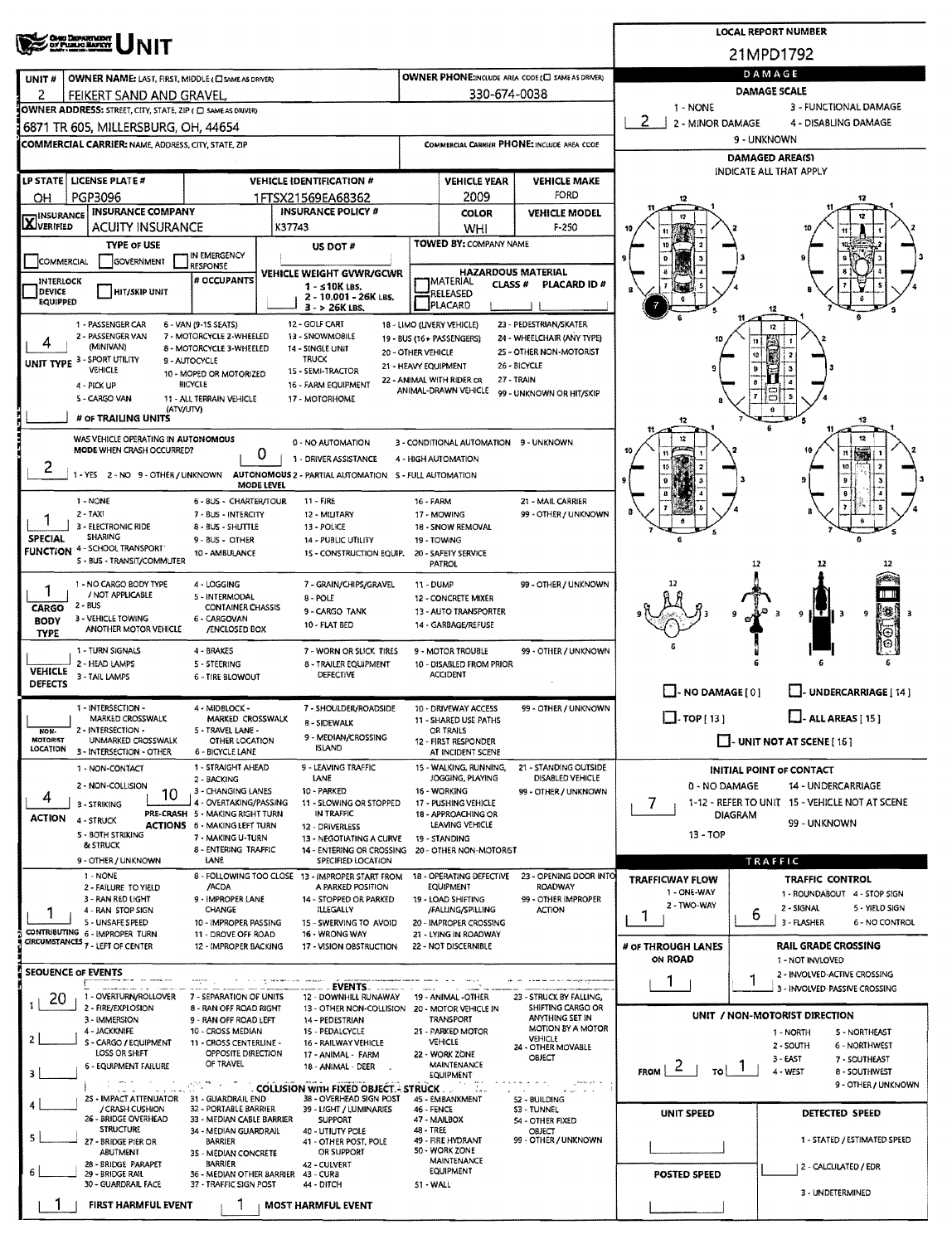|                                                                                                                                     | ' Cheo Department<br>, of Plealic Hafkit                                                            |                                                                        | <b>LOCAL REPORT NUMBER</b>                |                                                                                            |                                                                       |                                                   |                                                       |                                                                 |                        |                                                               |  |  |  |  |
|-------------------------------------------------------------------------------------------------------------------------------------|-----------------------------------------------------------------------------------------------------|------------------------------------------------------------------------|-------------------------------------------|--------------------------------------------------------------------------------------------|-----------------------------------------------------------------------|---------------------------------------------------|-------------------------------------------------------|-----------------------------------------------------------------|------------------------|---------------------------------------------------------------|--|--|--|--|
|                                                                                                                                     |                                                                                                     |                                                                        | 21MPD1792                                 |                                                                                            |                                                                       |                                                   |                                                       |                                                                 |                        |                                                               |  |  |  |  |
| UNIT#                                                                                                                               | OWNER NAME: LAST, FIRST, MIDDLE (CI SAME AS DRIVER)                                                 |                                                                        |                                           |                                                                                            |                                                                       |                                                   | OWNER PHONE:INCLUDE AREA CODE (C) SAME AS DRIVERY     | DAMAGE                                                          |                        |                                                               |  |  |  |  |
| 2                                                                                                                                   | FEIKERT SAND AND GRAVEL                                                                             |                                                                        |                                           |                                                                                            |                                                                       | 330-674-0038                                      |                                                       | <b>DAMAGE SCALE</b><br>3 - FUNCTIONAL DAMAGE<br>1 - NONE        |                        |                                                               |  |  |  |  |
|                                                                                                                                     | OWNER ADDRESS: STREET, CITY, STATE, ZIP ( C) SAME AS DRIVERY<br>6871 TR 605, MILLERSBURG, OH, 44654 |                                                                        |                                           | 2 - MINOR DAMAGE<br>4 - DISABLING DAMAGE                                                   |                                                                       |                                                   |                                                       |                                                                 |                        |                                                               |  |  |  |  |
|                                                                                                                                     | <b>COMMERCIAL CARRIER: NAME, ADDRESS, CITY, STATE, ZIP</b>                                          |                                                                        |                                           |                                                                                            |                                                                       |                                                   | COMMERCIAL CARRIER PHONE: INCLUDE AREA CODE           | 9 - UNKNOWN                                                     |                        |                                                               |  |  |  |  |
|                                                                                                                                     |                                                                                                     |                                                                        |                                           |                                                                                            |                                                                       |                                                   |                                                       |                                                                 | <b>DAMAGED AREA(S)</b> |                                                               |  |  |  |  |
|                                                                                                                                     | LP STATE   LICENSE PLATE #                                                                          |                                                                        |                                           | <b>VEHICLE IDENTIFICATION #</b>                                                            |                                                                       | <b>VEHICLE YEAR</b>                               | <b>VEHICLE MAKE</b>                                   | INDICATE ALL THAT APPLY                                         |                        |                                                               |  |  |  |  |
| OН                                                                                                                                  | <b>PGP3096</b>                                                                                      |                                                                        |                                           | 1FTSX21569EA68362                                                                          | FORD<br>2009                                                          |                                                   |                                                       | 12                                                              |                        |                                                               |  |  |  |  |
| <b>INSURANCE COMPANY</b><br><b>INSURANCE POLICY #</b><br><b>INSURANCE</b><br><b>AJVERIFIED</b><br><b>ACUITY INSURANCE</b><br>K37743 |                                                                                                     |                                                                        |                                           |                                                                                            |                                                                       | <b>COLOR</b><br>WHI                               | <b>VEHICLE MODEL</b><br>$F-250$                       |                                                                 |                        |                                                               |  |  |  |  |
|                                                                                                                                     | <b>TYPE OF USE</b>                                                                                  |                                                                        | US DOT#                                   |                                                                                            |                                                                       | TOWED BY: COMPANY NAME                            |                                                       |                                                                 |                        |                                                               |  |  |  |  |
| IN EMERGENCY<br>COMMERCIAL<br>GOVERNMENT<br><b>RESPONSE</b>                                                                         |                                                                                                     |                                                                        |                                           |                                                                                            |                                                                       |                                                   | <b>HAZARDOUS MATERIAL</b>                             |                                                                 |                        |                                                               |  |  |  |  |
| <b>INTERLOCK</b><br>DEVICE                                                                                                          | <b>HIT/SKIP UNIT</b>                                                                                | # OCCUPANTS                                                            |                                           | VEHICLE WEIGHT GVWR/GCWR<br>$1 - s10K$ LBS.                                                |                                                                       | <b>IMATERIAL</b><br><b>CLASS #</b>                | PLACARD ID#                                           |                                                                 |                        |                                                               |  |  |  |  |
| <b>EQUIPPED</b>                                                                                                                     |                                                                                                     |                                                                        |                                           | 2 - 10.001 - 26K LBS.<br>3 - > 26K LBS.                                                    |                                                                       | RELEASED<br>PLACARD                               |                                                       |                                                                 | 12                     |                                                               |  |  |  |  |
|                                                                                                                                     | 1 - PASSENGER CAR                                                                                   | 6 - VAN (9-15 SEATS)                                                   |                                           | 12 - GOLF CART                                                                             |                                                                       | 18 - LIMO (LIVERY VEHICLE)                        | 23 - PEDESTRIAN/SKATER                                |                                                                 |                        |                                                               |  |  |  |  |
|                                                                                                                                     | 2 - PASSENGER VAN<br>(MINIVAN)                                                                      | 7 - MOTORCYCLE 2-WHEELED<br>8 - MOTORCYCLE 3-WHEELED                   |                                           | 13 - SNOWMOBILE<br>14 - SINGLE UNIT                                                        | 20 - OTHER VEHICLE                                                    | 19 - BUS (16+ PASSENGERS)                         | 24 - WHEELCHAIR (ANY TYPE)<br>25 - OTHER NON-MOTORIST |                                                                 | 11<br>10               |                                                               |  |  |  |  |
|                                                                                                                                     | UNIT TYPE 3 - SPORT UTILITY<br>VEHICLE                                                              | 9 - AUTOCYCLE<br>10 - MOPED OR MOTORIZED                               |                                           | <b>TRUCK</b><br>15 - SEMI-TRACTOR                                                          | 21 - HEAVY EQUIPMENT                                                  |                                                   | 26 - BICYCLE                                          |                                                                 | 9                      |                                                               |  |  |  |  |
|                                                                                                                                     | 4 - PICK UP                                                                                         | <b>BICYCLE</b>                                                         |                                           | 16 - FARM EQUIPMENT                                                                        |                                                                       | 22 - ANIMAL WITH RIDER OR<br>ANIMAL-DRAWN VEHICLE | 27 - TRAIN<br>99 - UNKNOWN OR HIT/SKIP                |                                                                 |                        |                                                               |  |  |  |  |
|                                                                                                                                     | 5 - CARGO VAN<br>(ATV/UTV)                                                                          | 11 - ALL TERRAIN VEHICLE                                               |                                           | 17 - MOTORHOME                                                                             |                                                                       |                                                   |                                                       |                                                                 | ా                      |                                                               |  |  |  |  |
|                                                                                                                                     | # OF TRAILING UNITS                                                                                 |                                                                        |                                           |                                                                                            |                                                                       |                                                   |                                                       | 12                                                              |                        | 12                                                            |  |  |  |  |
|                                                                                                                                     | WAS VEHICLE OPERATING IN AUTONOMOUS<br>MODE WHEN CRASH OCCURRED?                                    |                                                                        | o                                         | 0 - NO AUTOMATION                                                                          |                                                                       | 3 - CONDITIONAL AUTOMATION 9 - UNKNOWN            |                                                       |                                                                 |                        | 12                                                            |  |  |  |  |
| z                                                                                                                                   | 1-YES 2-NO 9-OTHER/UNKNOWN                                                                          |                                                                        |                                           | 1 - DRIVER ASSISTANCE<br>AUTONOMOUS 2 - PARTIAL AUTOMATION 5 - FULL AUTOMATION             |                                                                       | 4 - HIGH AUTOMATION                               |                                                       |                                                                 |                        |                                                               |  |  |  |  |
|                                                                                                                                     |                                                                                                     |                                                                        | MODE LEVEL                                |                                                                                            |                                                                       |                                                   |                                                       |                                                                 |                        |                                                               |  |  |  |  |
|                                                                                                                                     | 1 - NONE<br>$2 - TAY$                                                                               | 6 - 8US - CHARTER/TOUR<br>7 - BUS - INTERCITY                          |                                           | 11 - FIRE<br>12 - MILITARY                                                                 | 16 - FARM                                                             | 17 - MOWING                                       | 21 - MAIL CARRIER<br>99 - OTHER / UNKNOWN             |                                                                 |                        |                                                               |  |  |  |  |
| <b>SPECIAL</b>                                                                                                                      | 3 - ELECTRONIC RIDE<br>SHARING                                                                      | 8 - BUS - SHUTTLE                                                      |                                           | 13 - POLICE                                                                                |                                                                       | 18 - SNOW REMOVAL                                 |                                                       |                                                                 |                        |                                                               |  |  |  |  |
|                                                                                                                                     | <b>FUNCTION 4 - SCHOOL TRANSPORT</b>                                                                | 9 - BUS - OTHER<br>10 - AMBULANCE                                      |                                           | 14 - PUBLIC UTILITY<br>15 - CONSTRUCTION EQUIP.                                            |                                                                       | 19 - TOWING<br>20 - SAFETY SERVICE                |                                                       |                                                                 |                        |                                                               |  |  |  |  |
|                                                                                                                                     | S - BUS - TRANSIT/COMMUTER                                                                          |                                                                        |                                           |                                                                                            |                                                                       | PATROL                                            |                                                       |                                                                 | 12                     |                                                               |  |  |  |  |
| 1                                                                                                                                   | 1 - NO CARGO BODY TYPE<br>/ NOT APPLICABLE                                                          | 4 - LOGGING<br>5 - INTERMODAL                                          |                                           | 7 - GRAIN/CHIPS/GRAVEL<br>8 - POLE                                                         | 11 - DUMP                                                             | 12 - CONCRETE MIXER                               | 99 - OTHER / UNKNOWN                                  |                                                                 |                        | T T                                                           |  |  |  |  |
| CARGO<br><b>BODY</b>                                                                                                                | $2 - BUS$<br>3 - VEHICLE TOWING                                                                     | <b>CONTAINER CHASSIS</b><br>6 - CARGOVAN                               |                                           | 9 - CARGO TANK                                                                             |                                                                       | 13 - AUTO TRANSPORTER                             |                                                       |                                                                 |                        | 縣寨<br>9<br>म् र ।<br>-3<br>9<br>-3                            |  |  |  |  |
| <b>TYPE</b>                                                                                                                         | ANOTHER MOTOR VEHICLE                                                                               | /ENCLOSED BOX                                                          |                                           | 10 - FLAT BED                                                                              |                                                                       | 14 - GARBAGE/REFUSE                               |                                                       |                                                                 |                        | Θ                                                             |  |  |  |  |
|                                                                                                                                     | 1 - TURN SIGNALS                                                                                    | 4 - BRAKES                                                             |                                           | 7 - WORN OR SLICK TIRES                                                                    |                                                                       | 9 - MOTOR TROUBLE                                 | 99 - OTHER / UNKNOWN                                  |                                                                 |                        |                                                               |  |  |  |  |
| <b>VEHICLE</b><br><b>DEFECTS</b>                                                                                                    | 2 - HEAD LAMPS<br>3 - TAIL LAMPS                                                                    | 5 - STEERING<br>6 - TIRE BLOWOUT                                       |                                           | 8 - TRAILER EQUIPMENT<br>DEFECTIVE                                                         |                                                                       | 10 - DISABLED FROM PRIOR<br><b>ACCIDENT</b>       |                                                       |                                                                 |                        |                                                               |  |  |  |  |
|                                                                                                                                     |                                                                                                     |                                                                        |                                           |                                                                                            |                                                                       |                                                   |                                                       | $\Box$ - NO DAMAGE $[0]$<br>LI-UNDERCARRIAGE [14]               |                        |                                                               |  |  |  |  |
|                                                                                                                                     | 1 - INTERSECTION -<br>MARKED CROSSWALK                                                              | 4 - MIDBLOCK -<br>MARKED CROSSWALK                                     |                                           | 7 - SHOULDER/ROADSIDE<br>8 - SIDEWALK                                                      | 10 - DRIVEWAY ACCESS<br>99 - OTHER / UNKNOWN<br>11 - SHARED USE PATHS |                                                   |                                                       | $\Box$ TOP [ 13 ]<br>L. ALL AREAS [ 15 ]                        |                        |                                                               |  |  |  |  |
| NON-<br>MOTORIST                                                                                                                    | 2 - INTERSECTION -<br>UNMARKED CROSSWALK                                                            | 5 - TRAVEL LANE -<br>OTHER LOCATION                                    |                                           | 9 - MEDIAN/CROSSING                                                                        | OR TRAILS<br>12 - FIRST RESPONDER                                     |                                                   |                                                       | - UNIT NOT AT SCENE [16]                                        |                        |                                                               |  |  |  |  |
| LOCATION                                                                                                                            | 3 - INTERSECTION - OTHER                                                                            | 6 - BICYCLE LANE                                                       |                                           | <b>ISLAND</b>                                                                              |                                                                       | AT INCIDENT SCENE                                 |                                                       |                                                                 |                        |                                                               |  |  |  |  |
|                                                                                                                                     | 1 - NON-CONTACT<br>2 - NON-COLLISION                                                                | 1 - STRAIGHT AHEAD<br>2 - BACKING                                      |                                           | 9 - LEAVING TRAFFIC<br>LANE                                                                |                                                                       | 15 - WALKING, RUNNING,<br>JOGGING, PLAYING        | 21 - STANDING OUTSIDE<br>DISABLED VEHICLE             | 0 - NO DAMAGE                                                   |                        | <b>INITIAL POINT OF CONTACT</b><br>14 UNDERCARRIAGE           |  |  |  |  |
| 4                                                                                                                                   | 10<br>3 - STRIKING                                                                                  | 3 - CHANGING LANES<br>4 - OVERTAKING/PASSING                           |                                           | 10 - PARKED<br>11 - SLOWING OR STOPPED                                                     |                                                                       | 16 - WORKING<br>17 - PUSHING VEHICLE              | 99 - OTHER / UNKNOWN                                  | 7                                                               |                        | 1-12 - REFER TO UNIT 15 - VEHICLE NOT AT SCENE                |  |  |  |  |
| <b>ACTION</b>                                                                                                                       | 4 - STRUCK                                                                                          | PRE-CRASH 5 - MAKING RIGHT TURN<br><b>ACTIONS 6 - MAKING LEFT TURN</b> |                                           | IN TRAFFIC<br>12 - DRIVERLESS                                                              |                                                                       | 18 - APPROACHING OR<br>LEAVING VEHICLE            |                                                       |                                                                 | DIAGRAM                | 99 - UNKNOWN                                                  |  |  |  |  |
|                                                                                                                                     | S - BOTH STRIKING<br><b>&amp; STRUCK</b>                                                            | 7 - MAKING U-TURN                                                      |                                           | 13 - NEGOTIATING A CURVE                                                                   |                                                                       | 19 - STANDING                                     |                                                       | $13 - TOP$                                                      |                        |                                                               |  |  |  |  |
|                                                                                                                                     | 9 - OTHER / UNKNOWN                                                                                 | 8 - ENTERING TRAFFIC<br>LANE                                           |                                           | 14 - ENTERING OR CROSSING<br>SPECIFIED LOCATION                                            |                                                                       | 20 - OTHER NON-MOTORIST                           |                                                       |                                                                 | TRAFFIC                |                                                               |  |  |  |  |
|                                                                                                                                     | 1 - NONE<br>2 - FAILURE TO YIELD                                                                    | /ACDA                                                                  |                                           | 8 - FOLLOWING TOO CLOSE 13 - IMPROPER START FROM<br>A PARKED POSITION                      |                                                                       | 18 - OPERATING DEFECTIVE<br>EQUIPMENT             | 23 - OPENING DOOR INTO<br>ROADWAY                     | <b>TRAFFICWAY FLOW</b>                                          |                        | <b>TRAFFIC CONTROL</b>                                        |  |  |  |  |
|                                                                                                                                     | 3 - RAN RED LIGHT                                                                                   | 9 - IMPROPER LANE<br>CHANGE                                            |                                           | 14 - STOPPED OR PARKED<br><b>ILLEGALLY</b>                                                 |                                                                       | 19 - LOAD SHIFTING<br>/FALLING/SPILLING           | 99 - OTHER IMPROPER<br><b>ACTION</b>                  | 1 - ONE-WAY<br>2 - TWO-WAY                                      |                        | 1 - ROUNDABOUT 4 - STOP SIGN<br>2 - SIGNAL<br>5 - YIELD SIGN  |  |  |  |  |
|                                                                                                                                     | 4 - RAN STOP SIGN<br>5 - UNSAFE SPEED                                                               | 10 - IMPROPER PASSING                                                  |                                           | 15 - SWERVING TO AVOID                                                                     |                                                                       | 20 - IMPROPER CROSSING                            |                                                       | 1                                                               | 6                      | 3 - FLASHER<br>6 - NO CONTROL                                 |  |  |  |  |
|                                                                                                                                     | CONTRIBUTING 6 - IMPROPER TURN<br>CIRCUMSTANCES $\tau$ - LEFT OF CENTER                             | 11 - DROVE OFF ROAD<br>12 - IMPROPER BACKING                           |                                           | 16 - WRONG WAY<br>17 - VISION OBSTRUCTION                                                  |                                                                       | 21 - LYING IN ROADWAY<br>22 - NOT DISCERNIBLE     |                                                       | # OF THROUGH LANES                                              |                        | <b>RAIL GRADE CROSSING</b>                                    |  |  |  |  |
|                                                                                                                                     |                                                                                                     |                                                                        |                                           |                                                                                            |                                                                       |                                                   |                                                       | ON ROAD                                                         |                        | 1 - NOT INVLOVED                                              |  |  |  |  |
|                                                                                                                                     | <b>SEOUENCE OF EVENTS</b>                                                                           |                                                                        | The contract of the services and analysis | <b>EVENTS EXERCISE</b>                                                                     |                                                                       |                                                   |                                                       |                                                                 |                        | 2 - INVOLVED-ACTIVE CROSSING<br>3 - INVOLVED-PASSIVE CROSSING |  |  |  |  |
| 20                                                                                                                                  | 1 - OVERTURN/ROLLOVER<br>2 - FIRE/EXPLOSION                                                         | 7 - SEPARATION OF UNITS<br>8 - RAN OFF ROAD RIGHT                      |                                           | 12 - DOWNHILL RUNAWAY 19 - ANIMAL -OTHER<br>13 - OTHER NON-COLLISION 20 - MOTOR VEHICLE IN |                                                                       |                                                   | 23 - STRUCK BY FALLING,<br>SHIFTING CARGO OR          |                                                                 |                        |                                                               |  |  |  |  |
|                                                                                                                                     | 3 - IMMERSION<br>4 - JACKKNIFE                                                                      | 9 - RAN OFF ROAD LEFT<br>10 - CROSS MEDIAN                             |                                           | 14 - PEDESTRIAN<br>15 PEDALCYCLE                                                           |                                                                       | TRANSPORT<br>21 - PARKED MOTOR                    | ANYTHING SET IN<br>MOTION BY A MOTOR                  |                                                                 |                        | UNIT / NON-MOTORIST DIRECTION                                 |  |  |  |  |
| $\overline{2}$                                                                                                                      | S - CARGO / EQUIPMENT<br>LOSS OR SHIFT                                                              | 11 - CROSS CENTERLINE -<br>OPPOSITE DIRECTION                          |                                           | 16 - RAILWAY VEHICLE                                                                       |                                                                       | <b>VEHICLE</b>                                    | <b>VEHICLE</b><br>24 - OTHER MOVABLE                  | 1 - NORTH<br><b>5 - NORTHEAST</b><br>2 - SOUTH<br>6 - NORTHWEST |                        |                                                               |  |  |  |  |
| 3                                                                                                                                   | 6 - EQUIPMENT FAILURE                                                                               | OF TRAVEL                                                              |                                           | 17 - ANIMAL - FARM<br>18 - ANIMAL - DEER                                                   |                                                                       | 22 - WORK ZONE<br>MAINTENANCE                     | OBJECT                                                | $F_{ROM}$   2<br>TO !                                           | - 1                    | 3 - EAST<br>7 - SOUTHEAST<br>4 - WEST<br>8 - SOUTHWEST        |  |  |  |  |
|                                                                                                                                     | المعامل المناسبة.<br>وسعد والماء المناسبة                                                           | 欲の人の                                                                   |                                           | COLLISION WITH FIXED OBJECT. - STRUCK.                                                     |                                                                       | EQUIPMENT<br>T.                                   | $\sqrt{m m_{\rm Pl}}$ years of                        |                                                                 |                        | 9 - OTHER / UNKNOWN                                           |  |  |  |  |
|                                                                                                                                     | 25 - IMPACT ATTENUATOR 31 - GUARDRAIL END<br>/ CRASH CUSHION                                        | 32 - PORTABLE BARRIER                                                  |                                           | 38 - OVERHEAD SIGN POST<br>39 - LIGHT / LUMINARIES                                         | 46 - FENCE                                                            | 45 - EMBANKMENT                                   | 52 - BUILDING<br><b>S3 - TUNNEL</b>                   | <b>UNIT SPEED</b>                                               |                        |                                                               |  |  |  |  |
|                                                                                                                                     | 26 - BRIDGE OVERHEAD<br><b>STRUCTURE</b>                                                            | 33 - MEDIAN CABLE BARRIER<br>34 - MEDIAN GUARDRAIL                     |                                           | <b>SUPPORT</b><br>40 - UTIUTY POLE                                                         | 48 - TREE                                                             | 47 - MAILBOX                                      | 54 - OTHER FIXED<br>OBJECT                            |                                                                 |                        | <b>DETECTED SPEED</b>                                         |  |  |  |  |
| 5                                                                                                                                   | 27 - BRIDGE PIER OR<br>ABUTMENT                                                                     | BARRIER<br>35 - MEDIAN CONCRETE                                        |                                           | 41 - OTHER POST, POLE<br>OR SUPPORT                                                        |                                                                       | 49 - FIRE HYDRANT<br>50 - WORK ZONE               | 99 - OTHER / UNKNOWN                                  |                                                                 |                        | 1 - STATED / ESTIMATED SPEED                                  |  |  |  |  |
|                                                                                                                                     | 28 - BRIDGE PARAPET<br>29 - BRIDGE RAIL                                                             | <b>BARRIER</b><br>36 - MEDIAN OTHER BARRIER 43 - CURB                  |                                           | 42 - CULVERT                                                                               |                                                                       | MAINTENANCE<br><b>EQUIPMENT</b>                   |                                                       | 2 - CALCULATED / EDR                                            |                        |                                                               |  |  |  |  |
|                                                                                                                                     | 30 - GUARDRAIL FACE                                                                                 | 37 - TRAFFIC SIGN POST                                                 |                                           | 44 - DITCH                                                                                 | 51 - WALL                                                             |                                                   |                                                       | POSTED SPEED                                                    | 3 - UNDETERMINED       |                                                               |  |  |  |  |
|                                                                                                                                     | FIRST HARMFUL EVENT                                                                                 |                                                                        |                                           | <b>MOST HARMFUL EVENT</b>                                                                  |                                                                       |                                                   |                                                       |                                                                 |                        |                                                               |  |  |  |  |
|                                                                                                                                     |                                                                                                     |                                                                        |                                           |                                                                                            |                                                                       |                                                   |                                                       |                                                                 |                        |                                                               |  |  |  |  |